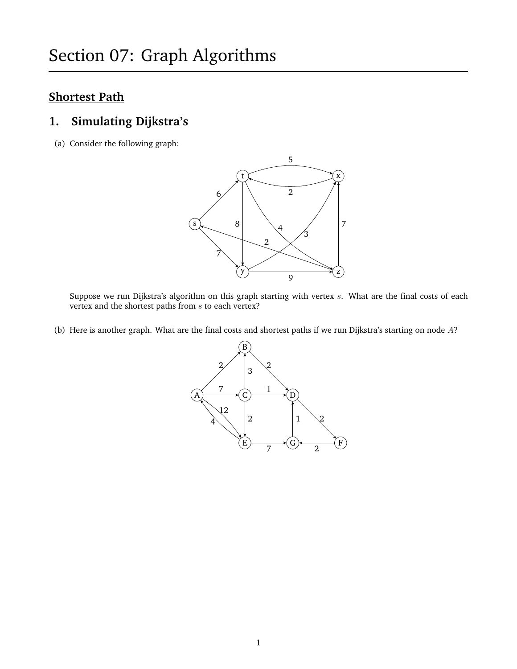## **Shortest Path**

#### **1. Simulating Dijkstra's**

(a) Consider the following graph:



Suppose we run Dijkstra's algorithm on this graph starting with vertex  $s$ . What are the final costs of each vertex and the shortest paths from  $s$  to each vertex?

(b) Here is another graph. What are the final costs and shortest paths if we run Dijkstra's starting on node A?

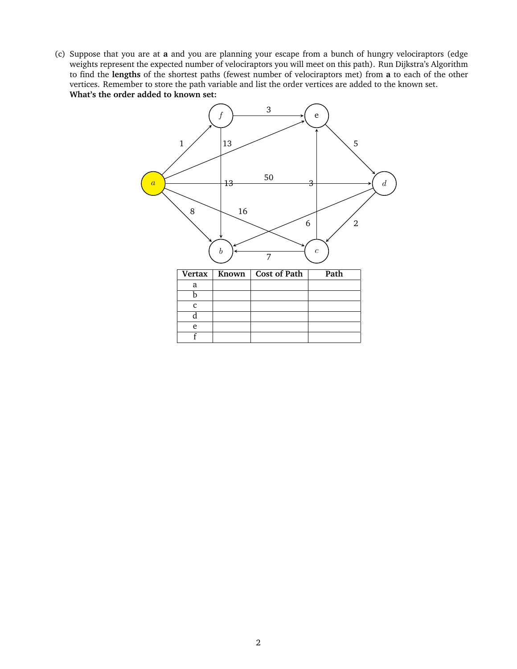(c) Suppose that you are at **a** and you are planning your escape from a bunch of hungry velociraptors (edge weights represent the expected number of velociraptors you will meet on this path). Run Dijkstra's Algorithm to find the **lengths** of the shortest paths (fewest number of velociraptors met) from **a** to each of the other vertices. Remember to store the path variable and list the order vertices are added to the known set. **What's the order added to known set:**

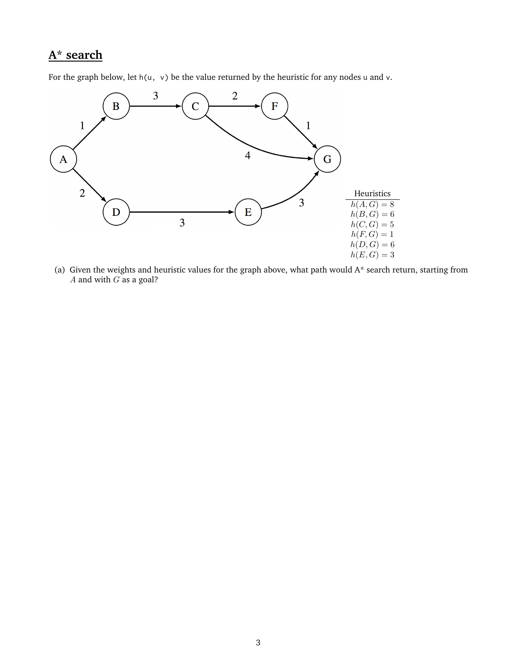# **A\* search**

For the graph below, let  $h(u, v)$  be the value returned by the heuristic for any nodes u and v.



(a) Given the weights and heuristic values for the graph above, what path would  $A^*$  search return, starting from A and with  $G$  as a goal?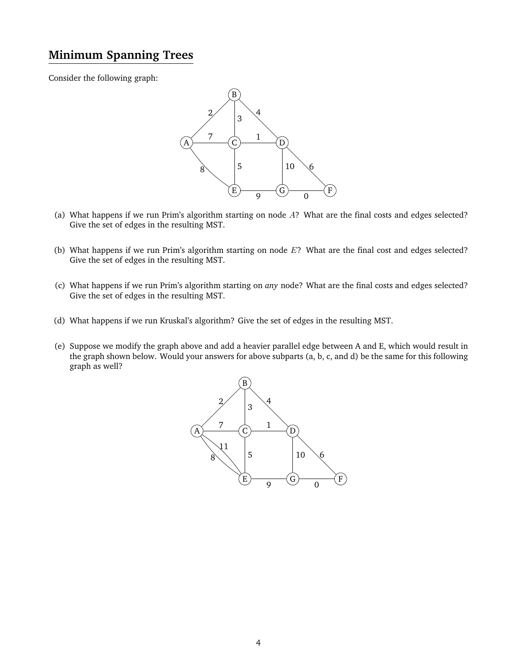# **Minimum Spanning Trees**

Consider the following graph:



- (a) What happens if we run Prim's algorithm starting on node A? What are the final costs and edges selected? Give the set of edges in the resulting MST.
- (b) What happens if we run Prim's algorithm starting on node  $E$ ? What are the final cost and edges selected? Give the set of edges in the resulting MST.
- (c) What happens if we run Prim's algorithm starting on *any* node? What are the final costs and edges selected? Give the set of edges in the resulting MST.
- (d) What happens if we run Kruskal's algorithm? Give the set of edges in the resulting MST.
- (e) Suppose we modify the graph above and add a heavier parallel edge between A and E, which would result in the graph shown below. Would your answers for above subparts (a, b, c, and d) be the same for this following graph as well?

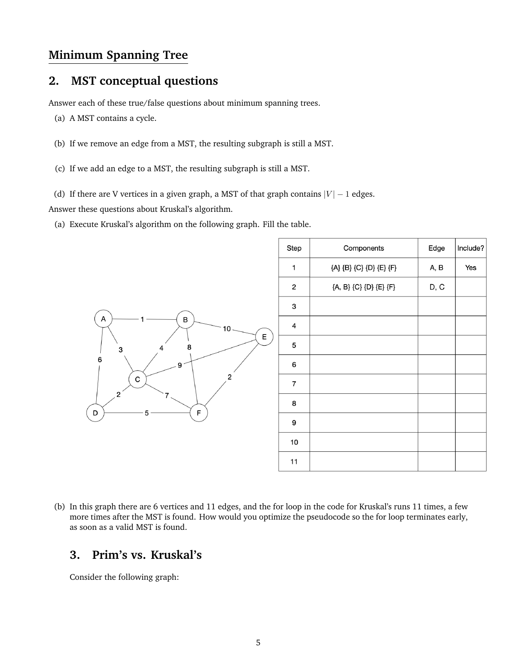#### **Minimum Spanning Tree**

### **2. MST conceptual questions**

Answer each of these true/false questions about minimum spanning trees.

- (a) A MST contains a cycle.
- (b) If we remove an edge from a MST, the resulting subgraph is still a MST.
- (c) If we add an edge to a MST, the resulting subgraph is still a MST.
- (d) If there are V vertices in a given graph, a MST of that graph contains  $|V| 1$  edges.

Answer these questions about Kruskal's algorithm.

(a) Execute Kruskal's algorithm on the following graph. Fill the table.



(b) In this graph there are 6 vertices and 11 edges, and the for loop in the code for Kruskal's runs 11 times, a few more times after the MST is found. How would you optimize the pseudocode so the for loop terminates early, as soon as a valid MST is found.

### **3. Prim's vs. Kruskal's**

Consider the following graph: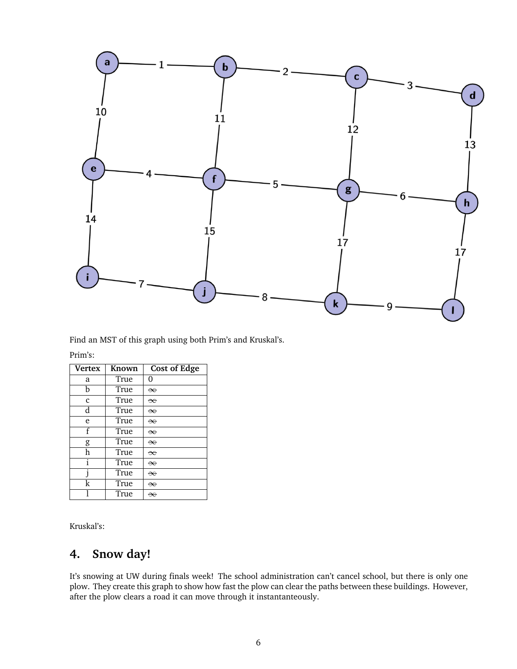

Find an MST of this graph using both Prim's and Kruskal's.

| ш |  |
|---|--|
|   |  |
|   |  |

| <b>Vertex</b> | Known | <b>Cost of Edge</b> |
|---------------|-------|---------------------|
| a             | True  | 0                   |
| h             | True  | $\infty$            |
| $\mathbf{c}$  | True  | $\infty$            |
| d             | True  | $\infty$            |
| e             | True  | $\infty$            |
| f             | True  | $\infty$            |
| g             | True  | $\infty$            |
| h             | True  | $\infty$            |
| i             | True  | $\infty$            |
|               | True  | $\infty$            |
| k             | True  | $\infty$            |
|               | True  | ₩                   |

Kruskal's:

## **4. Snow day!**

It's snowing at UW during finals week! The school administration can't cancel school, but there is only one plow. They create this graph to show how fast the plow can clear the paths between these buildings. However, after the plow clears a road it can move through it instantanteously.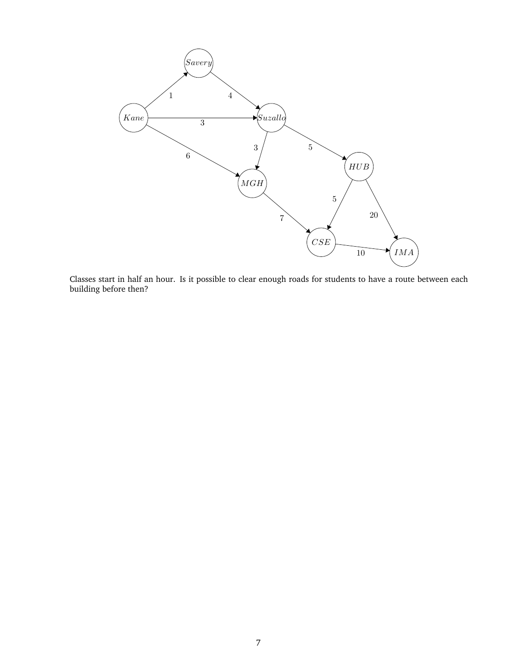

Classes start in half an hour. Is it possible to clear enough roads for students to have a route between each building before then?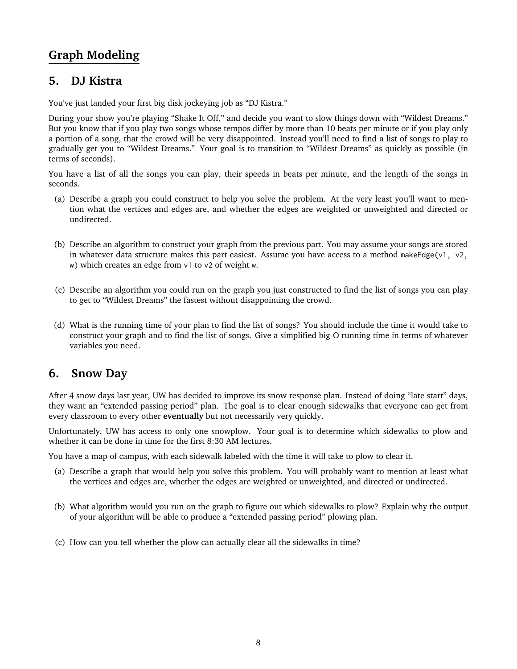# **Graph Modeling**

#### **5. DJ Kistra**

You've just landed your first big disk jockeying job as "DJ Kistra."

During your show you're playing "Shake It Off," and decide you want to slow things down with "Wildest Dreams." But you know that if you play two songs whose tempos differ by more than 10 beats per minute or if you play only a portion of a song, that the crowd will be very disappointed. Instead you'll need to find a list of songs to play to gradually get you to "Wildest Dreams." Your goal is to transition to "Wildest Dreams" as quickly as possible (in terms of seconds).

You have a list of all the songs you can play, their speeds in beats per minute, and the length of the songs in seconds.

- (a) Describe a graph you could construct to help you solve the problem. At the very least you'll want to mention what the vertices and edges are, and whether the edges are weighted or unweighted and directed or undirected.
- (b) Describe an algorithm to construct your graph from the previous part. You may assume your songs are stored in whatever data structure makes this part easiest. Assume you have access to a method makeEdge(v1, v2, w) which creates an edge from v1 to v2 of weight w.
- (c) Describe an algorithm you could run on the graph you just constructed to find the list of songs you can play to get to "Wildest Dreams" the fastest without disappointing the crowd.
- (d) What is the running time of your plan to find the list of songs? You should include the time it would take to construct your graph and to find the list of songs. Give a simplified big-O running time in terms of whatever variables you need.

#### **6. Snow Day**

After 4 snow days last year, UW has decided to improve its snow response plan. Instead of doing "late start" days, they want an "extended passing period" plan. The goal is to clear enough sidewalks that everyone can get from every classroom to every other **eventually** but not necessarily very quickly.

Unfortunately, UW has access to only one snowplow. Your goal is to determine which sidewalks to plow and whether it can be done in time for the first 8:30 AM lectures.

You have a map of campus, with each sidewalk labeled with the time it will take to plow to clear it.

- (a) Describe a graph that would help you solve this problem. You will probably want to mention at least what the vertices and edges are, whether the edges are weighted or unweighted, and directed or undirected.
- (b) What algorithm would you run on the graph to figure out which sidewalks to plow? Explain why the output of your algorithm will be able to produce a "extended passing period" plowing plan.
- (c) How can you tell whether the plow can actually clear all the sidewalks in time?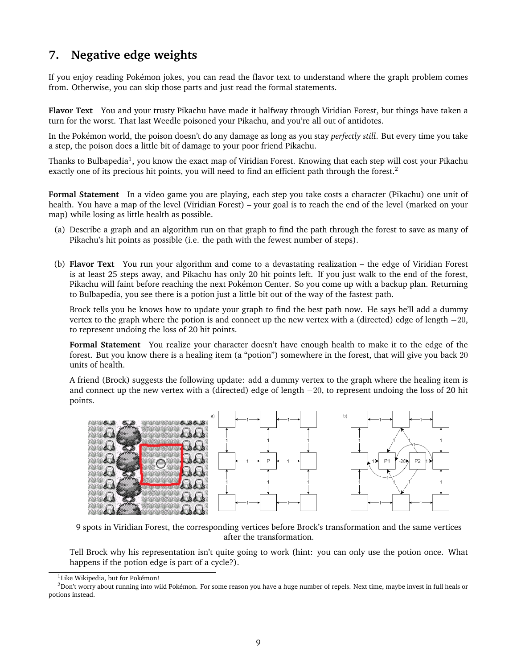## **7. Negative edge weights**

If you enjoy reading Pokémon jokes, you can read the flavor text to understand where the graph problem comes from. Otherwise, you can skip those parts and just read the formal statements.

**Flavor Text** You and your trusty Pikachu have made it halfway through Viridian Forest, but things have taken a turn for the worst. That last Weedle poisoned your Pikachu, and you're all out of antidotes.

In the Pokémon world, the poison doesn't do any damage as long as you stay *perfectly still*. But every time you take a step, the poison does a little bit of damage to your poor friend Pikachu.

Thanks to Bulbapedia $^1$  $^1$ , you know the exact map of Viridian Forest. Knowing that each step will cost your Pikachu exactly one of its precious hit points, you will need to find an efficient path through the forest.<sup>[2](#page-8-1)</sup>

**Formal Statement** In a video game you are playing, each step you take costs a character (Pikachu) one unit of health. You have a map of the level (Viridian Forest) – your goal is to reach the end of the level (marked on your map) while losing as little health as possible.

- (a) Describe a graph and an algorithm run on that graph to find the path through the forest to save as many of Pikachu's hit points as possible (i.e. the path with the fewest number of steps).
- (b) **Flavor Text** You run your algorithm and come to a devastating realization the edge of Viridian Forest is at least 25 steps away, and Pikachu has only 20 hit points left. If you just walk to the end of the forest, Pikachu will faint before reaching the next Pokémon Center. So you come up with a backup plan. Returning to Bulbapedia, you see there is a potion just a little bit out of the way of the fastest path.

Brock tells you he knows how to update your graph to find the best path now. He says he'll add a dummy vertex to the graph where the potion is and connect up the new vertex with a (directed) edge of length  $-20$ , to represent undoing the loss of 20 hit points.

**Formal Statement** You realize your character doesn't have enough health to make it to the edge of the forest. But you know there is a healing item (a "potion") somewhere in the forest, that will give you back 20 units of health.

A friend (Brock) suggests the following update: add a dummy vertex to the graph where the healing item is and connect up the new vertex with a (directed) edge of length −20, to represent undoing the loss of 20 hit points.



9 spots in Viridian Forest, the corresponding vertices before Brock's transformation and the same vertices after the transformation.

Tell Brock why his representation isn't quite going to work (hint: you can only use the potion once. What happens if the potion edge is part of a cycle?).

<span id="page-8-1"></span><span id="page-8-0"></span><sup>&</sup>lt;sup>1</sup>Like Wikipedia, but for Pokémon!

 $2$ Don't worry about running into wild Pokémon. For some reason you have a huge number of repels. Next time, maybe invest in full heals or potions instead.